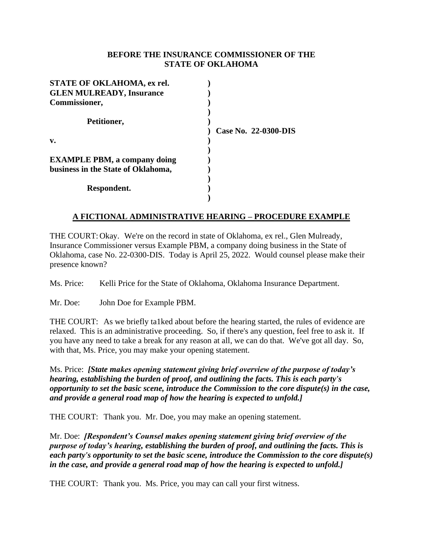### **BEFORE THE INSURANCE COMMISSIONER OF THE STATE OF OKLAHOMA**

| STATE OF OKLAHOMA, ex rel.          |                      |
|-------------------------------------|----------------------|
| <b>GLEN MULREADY, Insurance</b>     |                      |
| Commissioner,                       |                      |
|                                     |                      |
| Petitioner,                         |                      |
|                                     | Case No. 22-0300-DIS |
| $\mathbf{v}$ .                      |                      |
|                                     |                      |
| <b>EXAMPLE PBM, a company doing</b> |                      |
| business in the State of Oklahoma,  |                      |
|                                     |                      |
| Respondent.                         |                      |
|                                     |                      |

## **A FICTIONAL ADMINISTRATIVE HEARING – PROCEDURE EXAMPLE**

THE COURT:Okay. We're on the record in state of Oklahoma, ex rel., Glen Mulready, Insurance Commissioner versus Example PBM, a company doing business in the State of Oklahoma, case No. 22-0300-DIS. Today is April 25, 2022. Would counsel please make their presence known?

Ms. Price: Kelli Price for the State of Oklahoma, Oklahoma Insurance Department.

Mr. Doe: John Doe for Example PBM.

THE COURT: As we briefly ta1ked about before the hearing started, the rules of evidence are relaxed. This is an administrative proceeding. So, if there's any question, feel free to ask it. If you have any need to take a break for any reason at all, we can do that. We've got all day. So, with that, Ms. Price, you may make your opening statement.

Ms. Price:*[State makes opening statement giving brief overview of the purpose of today's hearing, establishing the burden of proof, and outlining the facts. This is each party's opportunity to set the basic scene, introduce the Commission to the core dispute(s) in the case, and provide a general road map of how the hearing is expected to unfold.]*

THE COURT: Thank you. Mr. Doe, you may make an opening statement.

Mr. Doe:*[Respondent's Counsel makes opening statement giving brief overview of the purpose of today's hearing, establishing the burden of proof, and outlining the facts. This is each party's opportunity to set the basic scene, introduce the Commission to the core dispute(s) in the case, and provide a general road map of how the hearing is expected to unfold.]*

THE COURT: Thank you. Ms. Price, you may can call your first witness.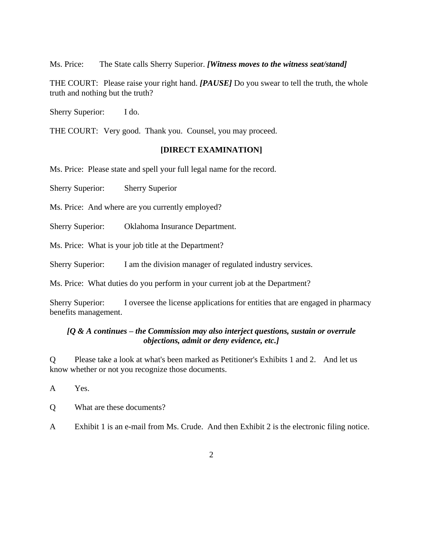Ms. Price: The State calls Sherry Superior. *[Witness moves to the witness seat/stand]*

THE COURT: Please raise your right hand. *[PAUSE]* Do you swear to tell the truth, the whole truth and nothing but the truth?

Sherry Superior: I do.

THE COURT: Very good. Thank you. Counsel, you may proceed.

#### **[DIRECT EXAMINATION]**

Ms. Price: Please state and spell your full legal name for the record.

Sherry Superior: Sherry Superior

Ms. Price: And where are you currently employed?

Sherry Superior: Oklahoma Insurance Department.

Ms. Price: What is your job title at the Department?

Sherry Superior: I am the division manager of regulated industry services.

Ms. Price: What duties do you perform in your current job at the Department?

Sherry Superior: I oversee the license applications for entities that are engaged in pharmacy benefits management.

#### *[Q & A continues – the Commission may also interject questions, sustain or overrule objections, admit or deny evidence, etc.]*

Q Please take a look at what's been marked as Petitioner's Exhibits 1 and 2. And let us know whether or not you recognize those documents.

A Yes.

Q What are these documents?

A Exhibit 1 is an e-mail from Ms. Crude. And then Exhibit 2 is the electronic filing notice.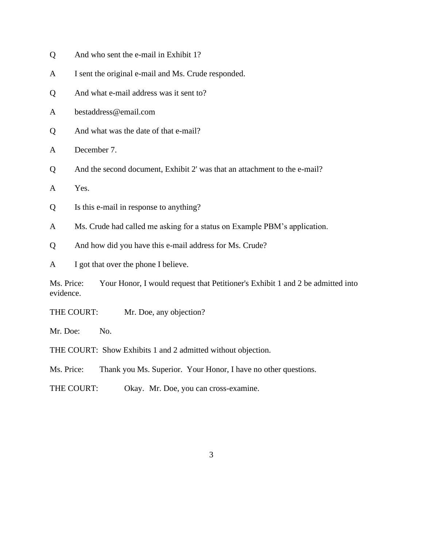- Q And who sent the e-mail in Exhibit 1?
- A I sent the original e-mail and Ms. Crude responded.
- Q And what e-mail address was it sent to?
- A bestaddress@email.com
- Q And what was the date of that e-mail?
- A December 7.
- Q And the second document, Exhibit 2' was that an attachment to the e-mail?
- A Yes.
- Q Is this e-mail in response to anything?
- A Ms. Crude had called me asking for a status on Example PBM's application.
- Q And how did you have this e-mail address for Ms. Crude?
- A I got that over the phone I believe.

Ms. Price: Your Honor, I would request that Petitioner's Exhibit 1 and 2 be admitted into evidence.

THE COURT: Mr. Doe, any objection?

Mr. Doe: No.

- THE COURT: Show Exhibits 1 and 2 admitted without objection.
- Ms. Price: Thank you Ms. Superior. Your Honor, I have no other questions.
- THE COURT: Okay. Mr. Doe, you can cross-examine.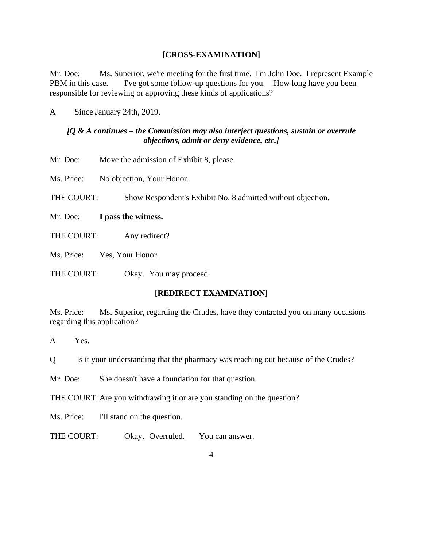### **[CROSS-EXAMINATION]**

Mr. Doe: Ms. Superior, we're meeting for the first time. I'm John Doe. I represent Example PBM in this case. I've got some follow-up questions for you. How long have you been responsible for reviewing or approving these kinds of applications?

A Since January 24th, 2019.

## *[Q & A continues – the Commission may also interject questions, sustain or overrule objections, admit or deny evidence, etc.]*

Mr. Doe: Move the admission of Exhibit 8, please.

Ms. Price: No objection, Your Honor.

THE COURT: Show Respondent's Exhibit No. 8 admitted without objection.

- Mr. Doe: **I pass the witness.**
- THE COURT: Any redirect?

Ms. Price: Yes, Your Honor.

THE COURT: Okay. You may proceed.

## **[REDIRECT EXAMINATION]**

Ms. Price: Ms. Superior, regarding the Crudes, have they contacted you on many occasions regarding this application?

A Yes.

Q Is it your understanding that the pharmacy was reaching out because of the Crudes?

Mr. Doe: She doesn't have a foundation for that question.

THE COURT: Are you withdrawing it or are you standing on the question?

Ms. Price: I'll stand on the question.

THE COURT: Okay. Overruled. You can answer.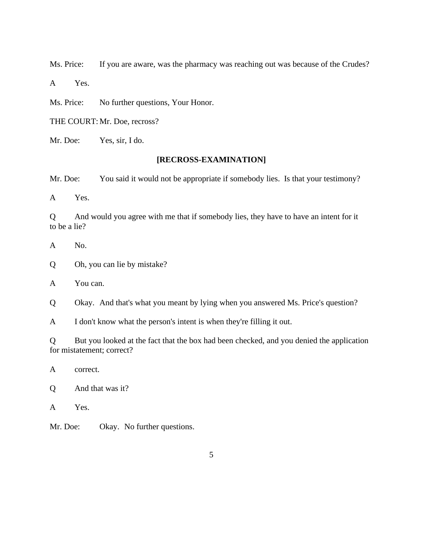Ms. Price: If you are aware, was the pharmacy was reaching out was because of the Crudes?

A Yes.

Ms. Price: No further questions, Your Honor.

THE COURT:Mr. Doe, recross?

Mr. Doe: Yes, sir, I do.

# **[RECROSS-EXAMINATION]**

Mr. Doe: You said it would not be appropriate if somebody lies. Is that your testimony?

A Yes.

Q And would you agree with me that if somebody lies, they have to have an intent for it to be a lie?

- A No.
- Q Oh, you can lie by mistake?
- A You can.

Q Okay. And that's what you meant by lying when you answered Ms. Price's question?

A I don't know what the person's intent is when they're filling it out.

Q But you looked at the fact that the box had been checked, and you denied the application for mistatement; correct?

A correct.

Q And that was it?

A Yes.

Mr. Doe: Okay. No further questions.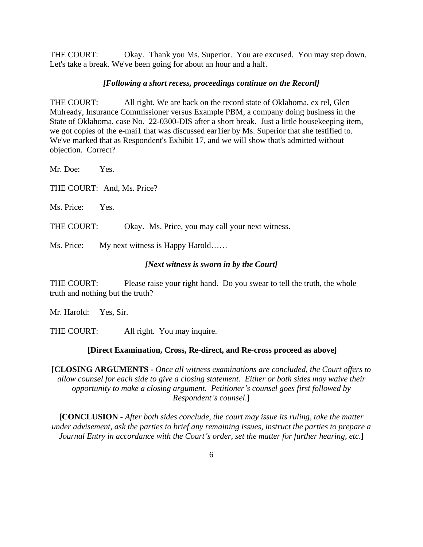THE COURT: Okay. Thank you Ms. Superior. You are excused. You may step down. Let's take a break. We've been going for about an hour and a half.

#### *[Following a short recess, proceedings continue on the Record]*

THE COURT: All right. We are back on the record state of Oklahoma, ex rel, Glen Mulready, Insurance Commissioner versus Example PBM, a company doing business in the State of Oklahoma, case No. 22-0300-DIS after a short break. Just a little housekeeping item, we got copies of the e-mai1 that was discussed ear1ier by Ms. Superior that she testified to. We've marked that as Respondent's Exhibit 17, and we will show that's admitted without objection. Correct?

Mr. Doe: Yes.

THE COURT: And, Ms. Price?

Ms. Price: Yes.

THE COURT: Okay. Ms. Price, you may call your next witness.

Ms. Price: My next witness is Happy Harold……

#### *[Next witness is sworn in by the Court]*

THE COURT: Please raise your right hand. Do you swear to tell the truth, the whole truth and nothing but the truth?

Mr. Harold: Yes, Sir.

THE COURT: All right. You may inquire.

#### **[Direct Examination, Cross, Re-direct, and Re-cross proceed as above]**

**[CLOSING ARGUMENTS -** *Once all witness examinations are concluded, the Court offers to allow counsel for each side to give a closing statement. Either or both sides may waive their opportunity to make a closing argument. Petitioner's counsel goes first followed by Respondent's counsel*.**]**

**[CONCLUSION -** *After both sides conclude, the court may issue its ruling, take the matter under advisement, ask the parties to brief any remaining issues, instruct the parties to prepare a Journal Entry in accordance with the Court's order, set the matter for further hearing, etc*.**]**